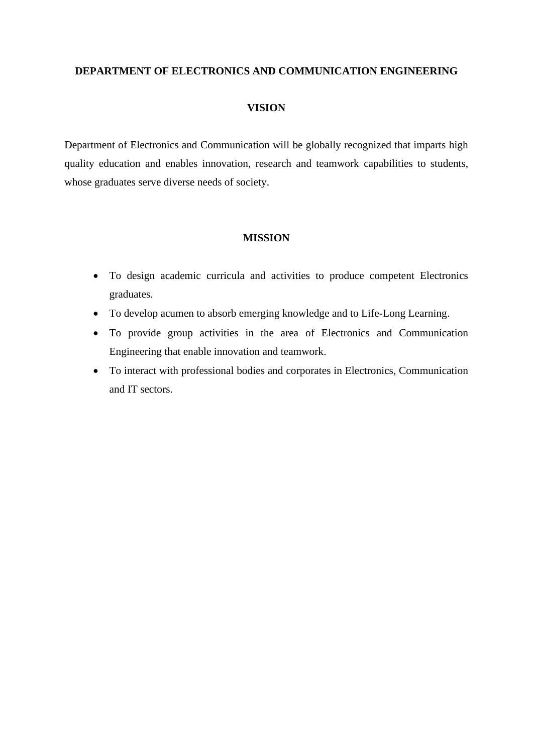## **DEPARTMENT OF ELECTRONICS AND COMMUNICATION ENGINEERING**

## **VISION**

Department of Electronics and Communication will be globally recognized that imparts high quality education and enables innovation, research and teamwork capabilities to students, whose graduates serve diverse needs of society.

## **MISSION**

- To design academic curricula and activities to produce competent Electronics graduates.
- To develop acumen to absorb emerging knowledge and to Life-Long Learning.
- To provide group activities in the area of Electronics and Communication Engineering that enable innovation and teamwork.
- To interact with professional bodies and corporates in Electronics, Communication and IT sectors.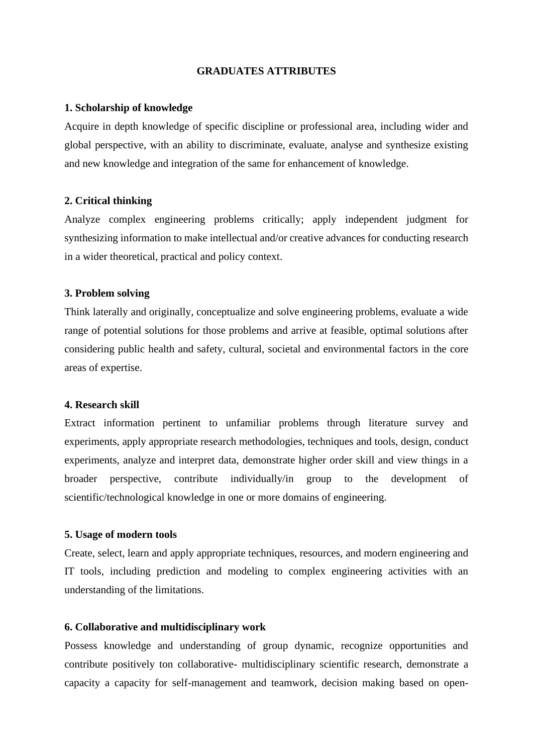### **GRADUATES ATTRIBUTES**

### **1. Scholarship of knowledge**

Acquire in depth knowledge of specific discipline or professional area, including wider and global perspective, with an ability to discriminate, evaluate, analyse and synthesize existing and new knowledge and integration of the same for enhancement of knowledge.

### **2. Critical thinking**

Analyze complex engineering problems critically; apply independent judgment for synthesizing information to make intellectual and/or creative advances for conducting research in a wider theoretical, practical and policy context.

### **3. Problem solving**

Think laterally and originally, conceptualize and solve engineering problems, evaluate a wide range of potential solutions for those problems and arrive at feasible, optimal solutions after considering public health and safety, cultural, societal and environmental factors in the core areas of expertise.

### **4. Research skill**

Extract information pertinent to unfamiliar problems through literature survey and experiments, apply appropriate research methodologies, techniques and tools, design, conduct experiments, analyze and interpret data, demonstrate higher order skill and view things in a broader perspective, contribute individually/in group to the development of scientific/technological knowledge in one or more domains of engineering.

## **5. Usage of modern tools**

Create, select, learn and apply appropriate techniques, resources, and modern engineering and IT tools, including prediction and modeling to complex engineering activities with an understanding of the limitations.

## **6. Collaborative and multidisciplinary work**

Possess knowledge and understanding of group dynamic, recognize opportunities and contribute positively ton collaborative- multidisciplinary scientific research, demonstrate a capacity a capacity for self-management and teamwork, decision making based on open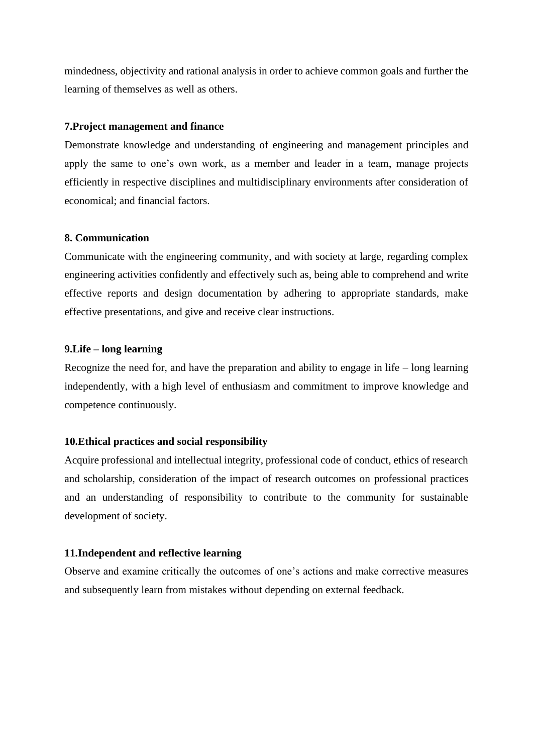mindedness, objectivity and rational analysis in order to achieve common goals and further the learning of themselves as well as others.

## **7.Project management and finance**

Demonstrate knowledge and understanding of engineering and management principles and apply the same to one's own work, as a member and leader in a team, manage projects efficiently in respective disciplines and multidisciplinary environments after consideration of economical; and financial factors.

## **8. Communication**

Communicate with the engineering community, and with society at large, regarding complex engineering activities confidently and effectively such as, being able to comprehend and write effective reports and design documentation by adhering to appropriate standards, make effective presentations, and give and receive clear instructions.

## **9.Life – long learning**

Recognize the need for, and have the preparation and ability to engage in life – long learning independently, with a high level of enthusiasm and commitment to improve knowledge and competence continuously.

### **10.Ethical practices and social responsibility**

Acquire professional and intellectual integrity, professional code of conduct, ethics of research and scholarship, consideration of the impact of research outcomes on professional practices and an understanding of responsibility to contribute to the community for sustainable development of society.

### **11.Independent and reflective learning**

Observe and examine critically the outcomes of one's actions and make corrective measures and subsequently learn from mistakes without depending on external feedback.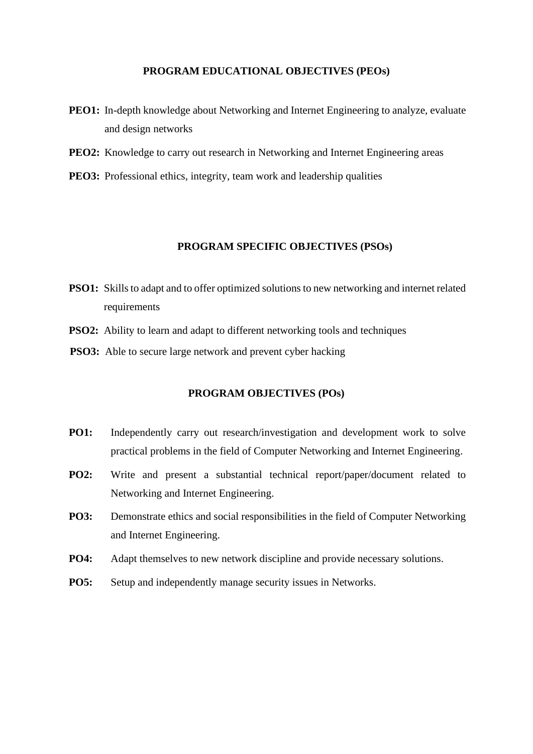#### **PROGRAM EDUCATIONAL OBJECTIVES (PEOs)**

- **PEO1:** In-depth knowledge about Networking and Internet Engineering to analyze, evaluate and design networks
- **PEO2:** Knowledge to carry out research in Networking and Internet Engineering areas
- **PEO3:** Professional ethics, integrity, team work and leadership qualities

### **PROGRAM SPECIFIC OBJECTIVES (PSOs)**

- **PSO1:** Skills to adapt and to offer optimized solutions to new networking and internet related requirements
- **PSO2:** Ability to learn and adapt to different networking tools and techniques
- **PSO3:** Able to secure large network and prevent cyber hacking

## **PROGRAM OBJECTIVES (POs)**

- **PO1:** Independently carry out research/investigation and development work to solve practical problems in the field of Computer Networking and Internet Engineering.
- **PO2:** Write and present a substantial technical report/paper/document related to Networking and Internet Engineering.
- **PO3:** Demonstrate ethics and social responsibilities in the field of Computer Networking and Internet Engineering.
- **PO4:** Adapt themselves to new network discipline and provide necessary solutions.
- **PO5:** Setup and independently manage security issues in Networks.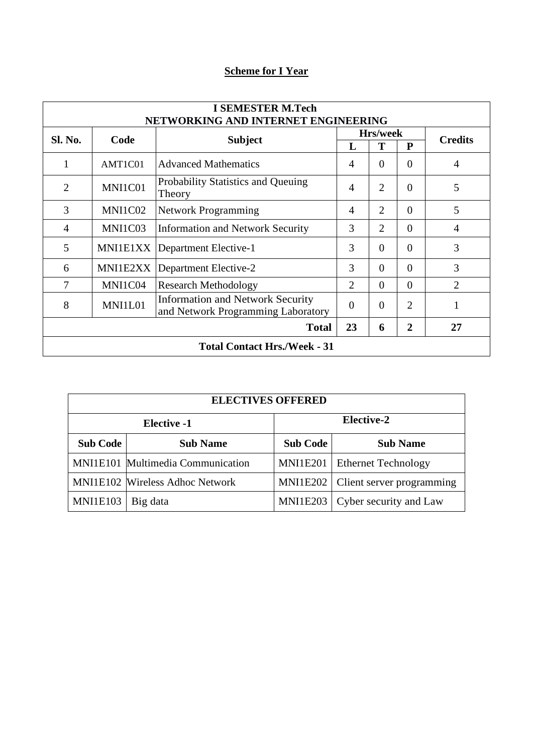# **Scheme for I Year**

| <b>I SEMESTER M.Tech</b><br>NETWORKING AND INTERNET ENGINEERING |                                          |                                                                               |                 |                |                |                |  |
|-----------------------------------------------------------------|------------------------------------------|-------------------------------------------------------------------------------|-----------------|----------------|----------------|----------------|--|
|                                                                 | <b>Sl. No.</b><br><b>Subject</b><br>Code |                                                                               | <b>Hrs/week</b> |                |                | <b>Credits</b> |  |
|                                                                 |                                          | L                                                                             | т               | P              |                |                |  |
| 1                                                               | AMT1C01                                  | <b>Advanced Mathematics</b>                                                   | $\overline{A}$  | $\Omega$       | $\Omega$       | 4              |  |
| $\overline{2}$                                                  | MNI1C01                                  | Probability Statistics and Queuing<br>Theory                                  | $\overline{A}$  | $\overline{2}$ | $\theta$       | 5              |  |
| 3                                                               | MNI1C02                                  | <b>Network Programming</b>                                                    | 4               | 2              | $\Omega$       | 5              |  |
| 4                                                               | MNI1C03                                  | <b>Information and Network Security</b>                                       | 3               | $\overline{2}$ | $\Omega$       | 4              |  |
| 5                                                               | MNI1E1XX                                 | Department Elective-1                                                         | 3               | $\theta$       | $\Omega$       | 3              |  |
| 6                                                               | MNI1E2XX                                 | Department Elective-2                                                         | 3               | $\theta$       | $\theta$       | 3              |  |
| 7                                                               | MNI1C04                                  | <b>Research Methodology</b>                                                   | $\overline{2}$  | $\Omega$       | $\Omega$       | $\overline{2}$ |  |
| 8                                                               | MNI1L01                                  | <b>Information and Network Security</b><br>and Network Programming Laboratory | $\overline{0}$  | $\theta$       | $\overline{2}$ | 1              |  |
| 23<br>$\overline{2}$<br>27<br><b>Total</b><br>6                 |                                          |                                                                               |                 |                |                |                |  |
| <b>Total Contact Hrs./Week - 31</b>                             |                                          |                                                                               |                 |                |                |                |  |

| <b>ELECTIVES OFFERED</b> |                                        |                                    |                            |  |  |  |  |
|--------------------------|----------------------------------------|------------------------------------|----------------------------|--|--|--|--|
|                          | <b>Elective -1</b>                     | Elective-2                         |                            |  |  |  |  |
| <b>Sub Code</b>          | <b>Sub Name</b>                        | <b>Sub Code</b><br><b>Sub Name</b> |                            |  |  |  |  |
|                          | MNI1E101 Multimedia Communication      | MNI1E201                           | <b>Ethernet Technology</b> |  |  |  |  |
|                          | <b>MNI1E102</b> Wireless Adhoc Network | MNI1E202                           | Client server programming  |  |  |  |  |
| <b>MNI1E103</b>          | Big data                               | <b>MNI1E203</b>                    | Cyber security and Law     |  |  |  |  |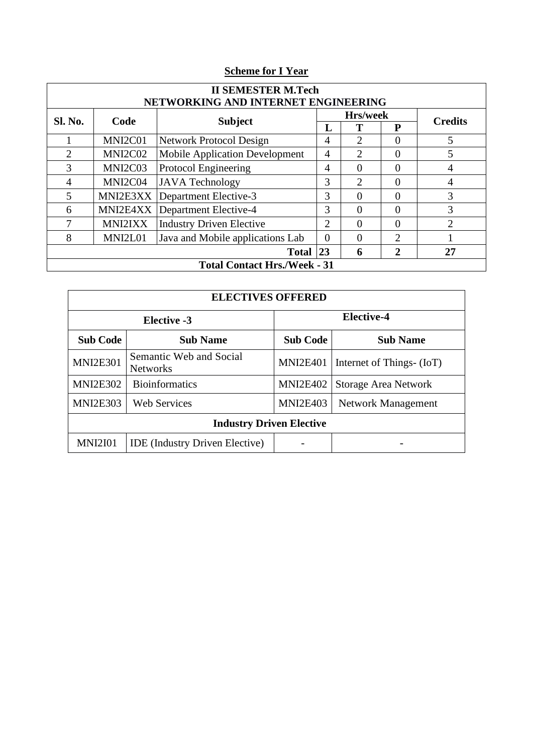# **Scheme for I Year**

| <b>II SEMESTER M.Tech</b><br>NETWORKING AND INTERNET ENGINEERING |                |                                       |                 |                             |                |                |
|------------------------------------------------------------------|----------------|---------------------------------------|-----------------|-----------------------------|----------------|----------------|
| <b>Sl. No.</b>                                                   | Code           | <b>Subject</b>                        | <b>Hrs/week</b> |                             |                | <b>Credits</b> |
|                                                                  |                |                                       | L               |                             | P              |                |
|                                                                  | MNI2C01        | <b>Network Protocol Design</b>        | 4               | $\mathcal{D}_{\mathcal{L}}$ | 0              | 5              |
| 2                                                                | MNI2C02        | <b>Mobile Application Development</b> | $\overline{4}$  | $\mathcal{D}_{\mathcal{L}}$ | $\Omega$       | 5              |
| 3                                                                | MNI2C03        | Protocol Engineering                  | 4               | $\Omega$                    | $\theta$       | 4              |
| $\overline{4}$                                                   | MNI2C04        | <b>JAVA</b> Technology                | 3               | $\mathfrak{D}$              | $\Omega$       | 4              |
| 5                                                                | MNI2E3XX       | Department Elective-3                 | 3               | 0                           | 0              | 3              |
| 6                                                                | MNI2E4XX       | Department Elective-4                 | 3               | $\Omega$                    | $\Omega$       | 3              |
|                                                                  | <b>MNI2IXX</b> | <b>Industry Driven Elective</b>       | 2               | $\Omega$                    | $\Omega$       | $\overline{2}$ |
| 8                                                                | MNI2L01        | Java and Mobile applications Lab      | $\Omega$        | $\Omega$                    | $\mathfrak{D}$ |                |
| Total $ 23 $<br>27<br>2<br>6                                     |                |                                       |                 |                             |                |                |
| <b>Total Contact Hrs./Week - 31</b>                              |                |                                       |                 |                             |                |                |

| <b>ELECTIVES OFFERED</b>        |                                            |                   |                             |  |  |  |  |  |
|---------------------------------|--------------------------------------------|-------------------|-----------------------------|--|--|--|--|--|
|                                 | Elective -3                                | <b>Elective-4</b> |                             |  |  |  |  |  |
| <b>Sub Code</b>                 | <b>Sub Name</b>                            | <b>Sub Code</b>   | <b>Sub Name</b>             |  |  |  |  |  |
| <b>MNI2E301</b>                 | Semantic Web and Social<br><b>Networks</b> | <b>MNI2E401</b>   | Internet of Things- (IoT)   |  |  |  |  |  |
| <b>MNI2E302</b>                 | <b>Bioinformatics</b>                      | <b>MNI2E402</b>   | <b>Storage Area Network</b> |  |  |  |  |  |
| <b>MNI2E303</b>                 | <b>Web Services</b>                        | <b>MNI2E403</b>   | Network Management          |  |  |  |  |  |
| <b>Industry Driven Elective</b> |                                            |                   |                             |  |  |  |  |  |
| <b>MNI2I01</b>                  | <b>IDE</b> (Industry Driven Elective)      |                   |                             |  |  |  |  |  |